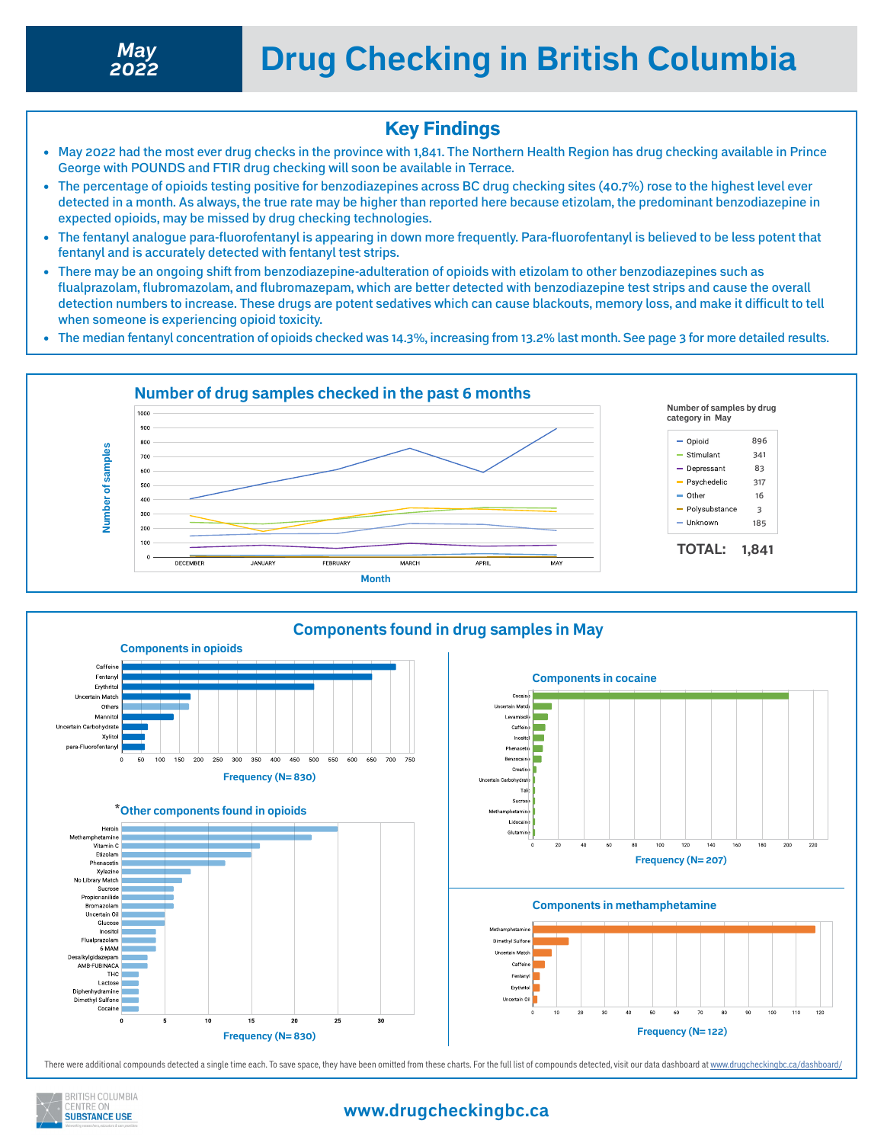

#### Key Findings

- May 2022 had the most ever drug checks in the province with 1,841. The Northern Health Region has drug checking available in Prince George with POUNDS and FTIR drug checking will soon be available in Terrace.
- The percentage of opioids testing positive for benzodiazepines across BC drug checking sites (40.7%) rose to the highest level ever detected in a month. As always, the true rate may be higher than reported here because etizolam, the predominant benzodiazepine in expected opioids, may be missed by drug checking technologies.
- The fentanyl analogue para-fluorofentanyl is appearing in down more frequently. Para-fluorofentanyl is believed to be less potent that fentanyl and is accurately detected with fentanyl test strips.
- There may be an ongoing shift from benzodiazepine-adulteration of opioids with etizolam to other benzodiazepines such as flualprazolam, flubromazolam, and flubromazepam, which are better detected with benzodiazepine test strips and cause the overall detection numbers to increase. These drugs are potent sedatives which can cause blackouts, memory loss, and make it difficult to tell when someone is experiencing opioid toxicity.
- The median fentanyl concentration of opioids checked was 14.3%, increasing from 13.2% last month. See page 3 for more detailed results.





There were additional compounds detected a single time each. To save space, they have been omitted from these charts. For the full list of compounds detected, visit our data dashboard at<www.drugcheckingbc.ca/dashboard/>



#### **www.drugcheckingbc.ca**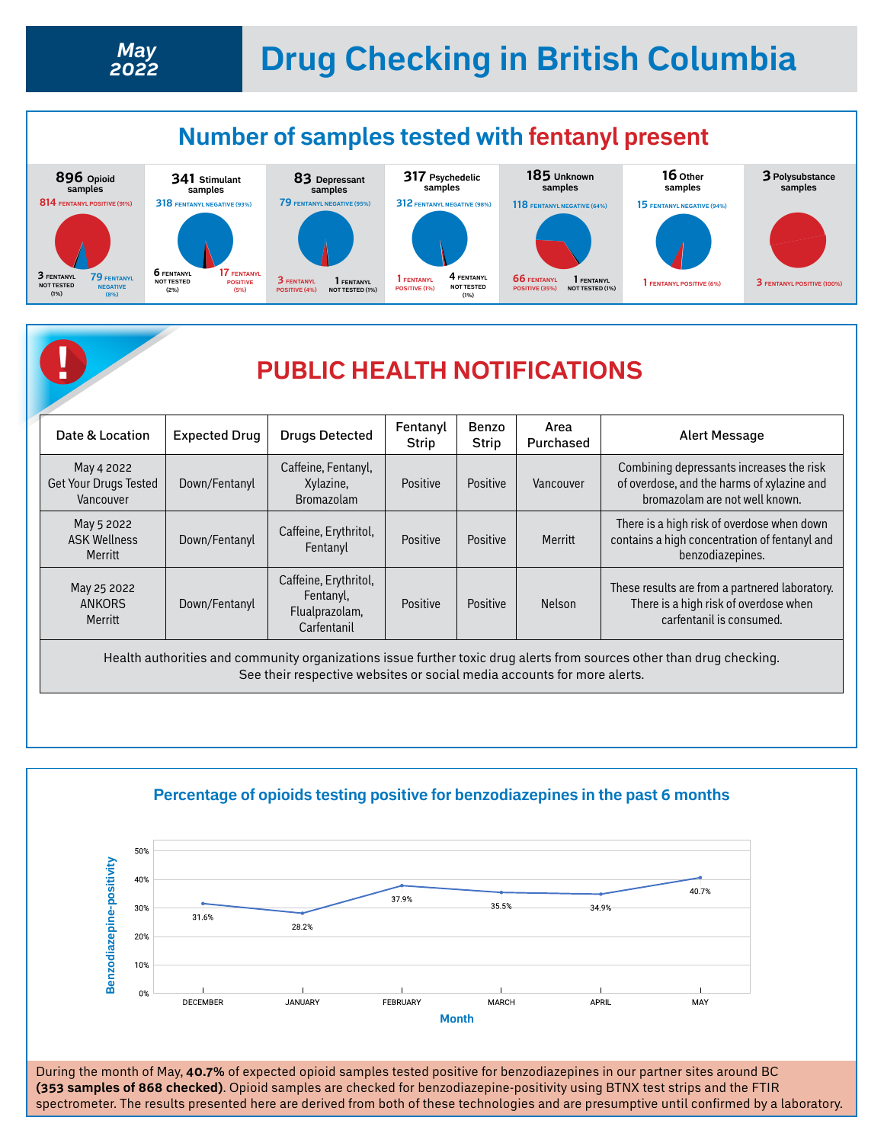# **Drug Checking in British Columbia** *May*



## **! PUBLIC HEALTH NOTIFICATIONS**

| Date & Location                                  | <b>Expected Drug</b> | <b>Drugs Detected</b>                                               | Fentanyl<br>Strip | Benzo<br><b>Strip</b> | Area<br>Purchased | Alert Message                                                                                                            |
|--------------------------------------------------|----------------------|---------------------------------------------------------------------|-------------------|-----------------------|-------------------|--------------------------------------------------------------------------------------------------------------------------|
| May 4 2022<br>Get Your Drugs Tested<br>Vancouver | Down/Fentanyl        | Caffeine, Fentanyl,<br>Xylazine,<br><b>Bromazolam</b>               | Positive          | Positive              | Vancouver         | Combining depressants increases the risk<br>of overdose, and the harms of xylazine and<br>bromazolam are not well known. |
| May 5 2022<br><b>ASK Wellness</b><br>Merritt     | Down/Fentanyl        | Caffeine, Erythritol,<br>Fentanyl                                   | Positive          | Positive              | Merritt           | There is a high risk of overdose when down<br>contains a high concentration of fentanyl and<br>benzodiazepines.          |
| May 25 2022<br><b>ANKORS</b><br>Merritt          | Down/Fentanyl        | Caffeine, Erythritol,<br>Fentanyl,<br>Flualprazolam,<br>Carfentanil | Positive          | Positive              | <b>Nelson</b>     | These results are from a partnered laboratory.<br>There is a high risk of overdose when<br>carfentanil is consumed.      |

Health authorities and community organizations issue further toxic drug alerts from sources other than drug checking. See their respective websites or social media accounts for more alerts.



During the month of May, **40.7%** of expected opioid samples tested positive for benzodiazepines in our partner sites around BC **(353 samples of 868 checked)**. Opioid samples are checked for benzodiazepine-positivity using BTNX test strips and the FTIR spectrometer. The results presented here are derived from both of these technologies and are presumptive until confirmed by a laboratory.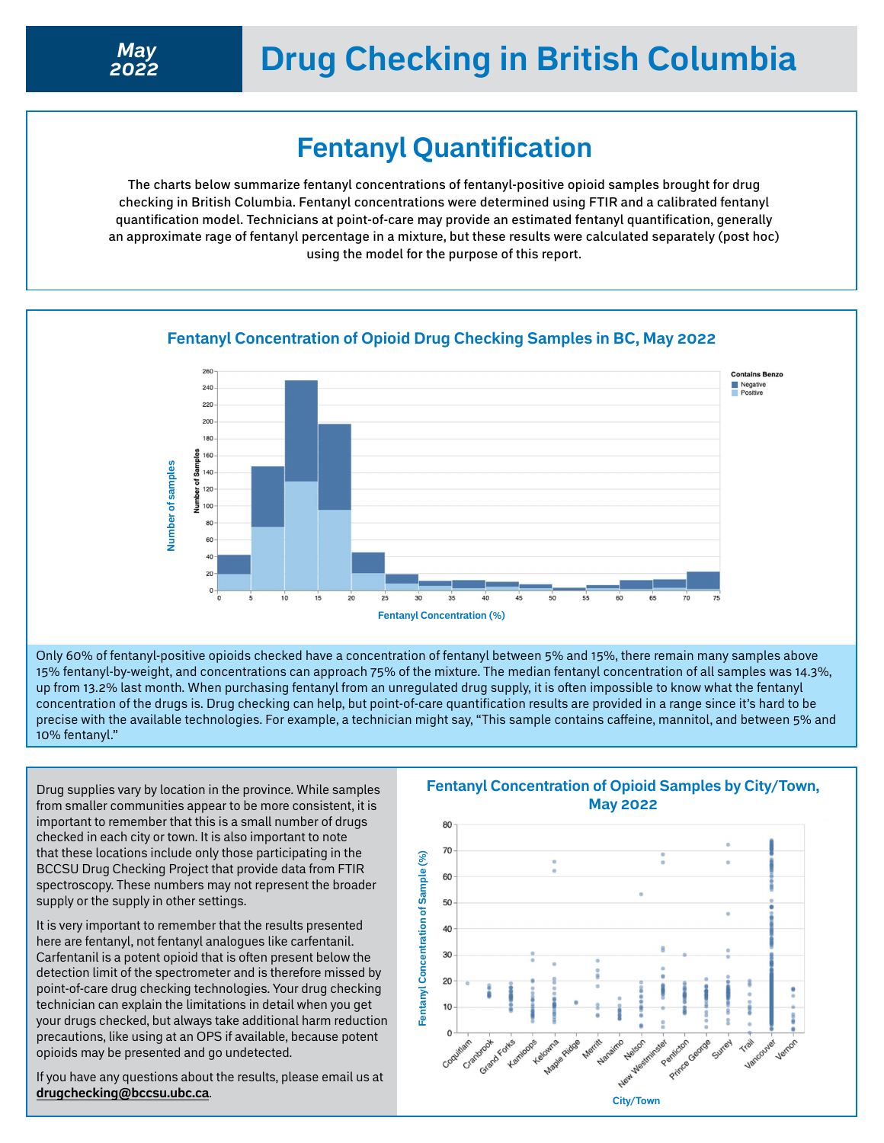## **Drug Checking in British Columbia**

### **Fentanyl Quantification**

The charts below summarize fentanyl concentrations of fentanyl-positive opioid samples brought for drug checking in British Columbia. Fentanyl concentrations were determined using FTIR and a calibrated fentanyl quantification model. Technicians at point-of-care may provide an estimated fentanyl quantification, generally an approximate rage of fentanyl percentage in a mixture, but these results were calculated separately (post hoc) using the model for the purpose of this report.



#### **Fentanyl Concentration of Opioid Drug Checking Samples in BC, May 2022**

Only 60% of fentanyl-positive opioids checked have a concentration of fentanyl between 5% and 15%, there remain many samples above 15% fentanyl-by-weight, and concentrations can approach 75% of the mixture. The median fentanyl concentration of all samples was 14.3%, up from 13.2% last month. When purchasing fentanyl from an unregulated drug supply, it is often impossible to know what the fentanyl concentration of the drugs is. Drug checking can help, but point-of-care quantification results are provided in a range since it's hard to be precise with the available technologies. For example, a technician might say, "This sample contains caffeine, mannitol, and between 5% and 10% fentanyl."

Drug supplies vary by location in the province. While samples from smaller communities appear to be more consistent, it is important to remember that this is a small number of drugs checked in each city or town. It is also important to note that these locations include only those participating in the BCCSU Drug Checking Project that provide data from FTIR spectroscopy. These numbers may not represent the broader supply or the supply in other settings.

It is very important to remember that the results presented here are fentanyl, not fentanyl analogues like carfentanil. Carfentanil is a potent opioid that is often present below the detection limit of the spectrometer and is therefore missed by point-of-care drug checking technologies. Your drug checking technician can explain the limitations in detail when you get your drugs checked, but always take additional harm reduction precautions, like using at an OPS if available, because potent opioids may be presented and go undetected.

If you have any questions about the results, please email us at **[drugchecking@bccsu.ubc.ca](mailto:drugchecking%40bccsu.ubc.ca?subject=Drug%20Checking)**.

#### **Fentanyl Concentration of Opioid Samples by City/Town, May 2022**

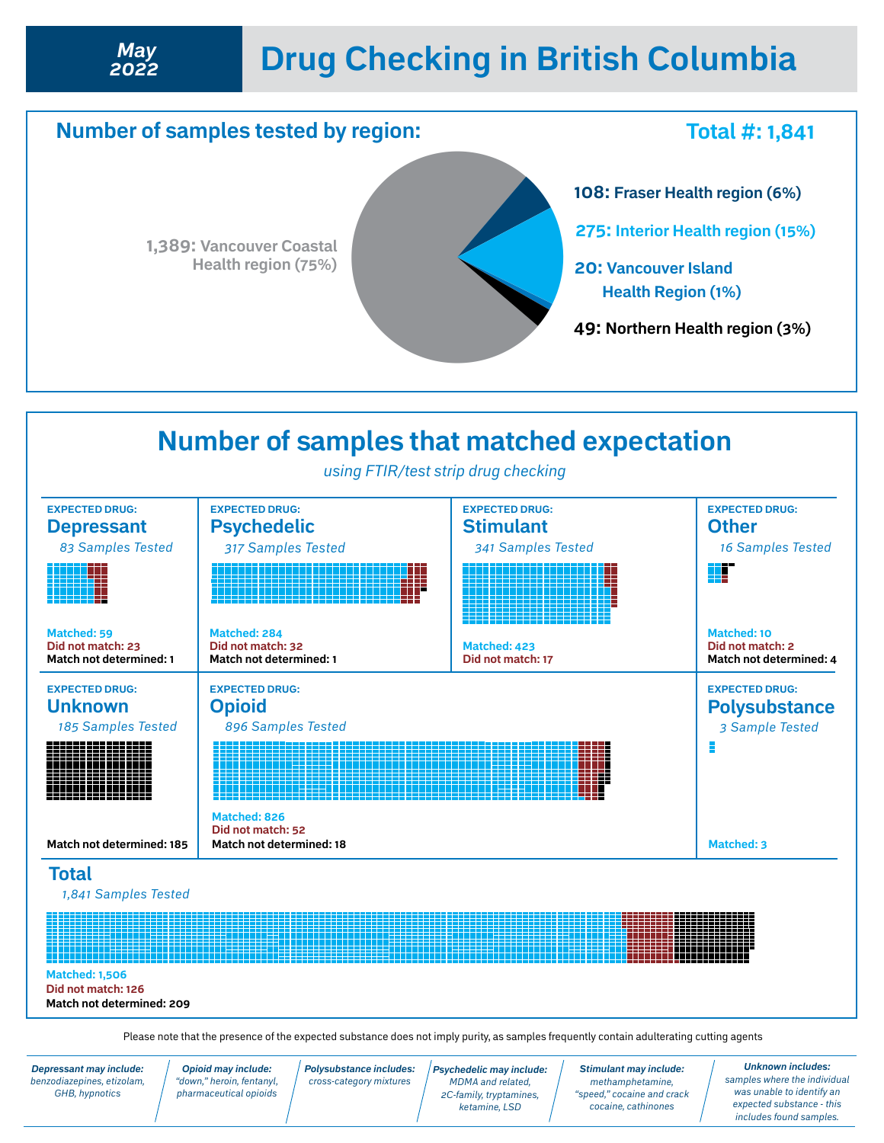# **Drug Checking in British Columbia** *May*





Please note that the presence of the expected substance does not imply purity, as samples frequently contain adulterating cutting agents

*Depressant may include: benzodiazepines, etizolam, GHB, hypnotics*

*2022*

*Opioid may include: "down," heroin, fentanyl, pharmaceutical opioids* *Polysubstance includes: cross-category mixtures*

*Psychedelic may include: MDMA and related, 2C-family, tryptamines, ketamine, LSD* 

*Stimulant may include: methamphetamine, "speed," cocaine and crack cocaine, cathinones*

*Unknown includes: samples where the individual was unable to identify an expected substance - this includes found samples.*